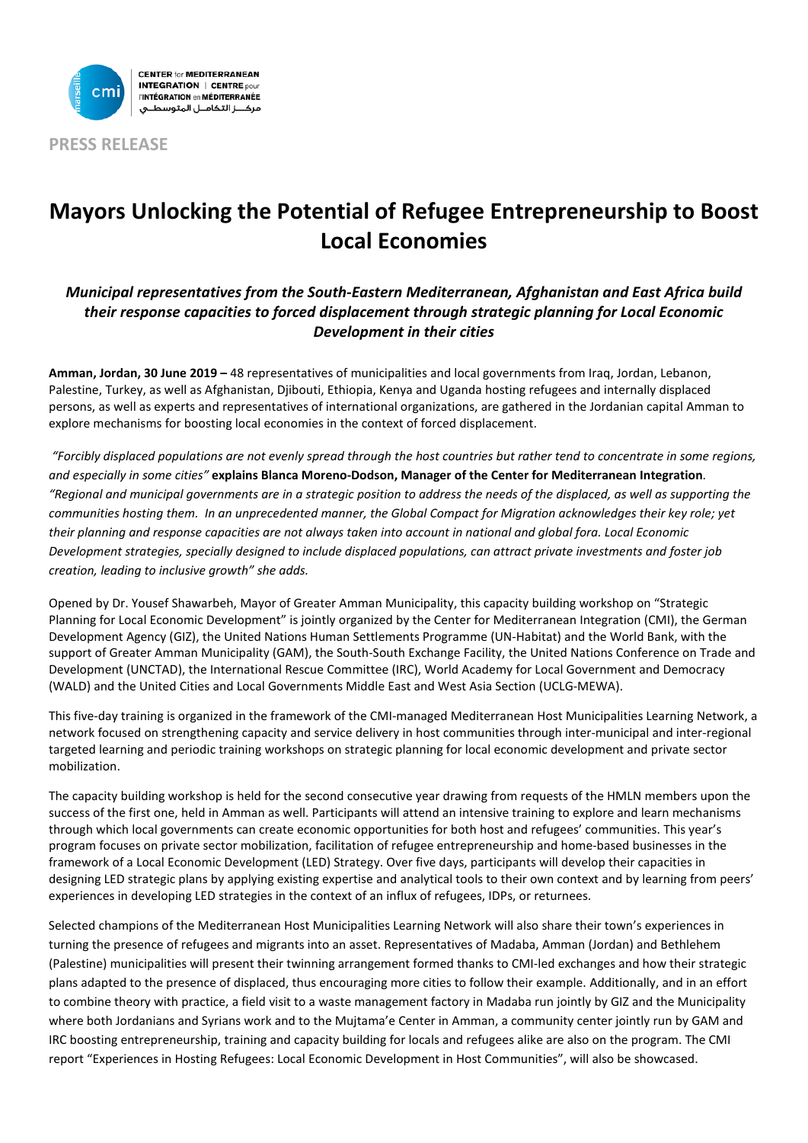

**PRESS RELEASE**

# **Mayors Unlocking the Potential of Refugee Entrepreneurship to Boost Local Economies**

## *Municipal representatives from the South-Eastern Mediterranean, Afghanistan and East Africa build their response capacities to forced displacement through strategic planning for Local Economic Development in their cities*

**Amman, Jordan, 30 June 2019 –** 48 representatives of municipalities and local governments from Iraq, Jordan, Lebanon, Palestine, Turkey, as well as Afghanistan, Djibouti, Ethiopia, Kenya and Uganda hosting refugees and internally displaced persons, as well as experts and representatives of international organizations, are gathered in the Jordanian capital Amman to explore mechanisms for boosting local economies in the context of forced displacement.

*"Forcibly displaced populations are not evenly spread through the host countries but rather tend to concentrate in some regions, and especially in some cities"* **explains Blanca Moreno-Dodson, Manager of the Center for Mediterranean Integration**. *"Regional and municipal governments are in a strategic position to address the needs of the displaced, as well as supporting the communities hosting them. In an unprecedented manner, the Global Compact for Migration acknowledges their key role; yet their planning and response capacities are not always taken into account in national and global fora. Local Economic Development strategies, specially designed to include displaced populations, can attract private investments and foster job creation, leading to inclusive growth" she adds.*

Opened by Dr. Yousef Shawarbeh, Mayor of Greater Amman Municipality, this capacity building workshop on "Strategic Planning for Local Economic Development" is jointly organized by the Center for Mediterranean Integration (CMI), the German Development Agency (GIZ), the United Nations Human Settlements Programme (UN-Habitat) and the World Bank, with the support of Greater Amman Municipality (GAM), the South-South Exchange Facility, the United Nations Conference on Trade and Development (UNCTAD), the International Rescue Committee (IRC), World Academy for Local Government and Democracy (WALD) and the United Cities and Local Governments Middle East and West Asia Section (UCLG-MEWA).

This five-day training is organized in the framework of the CMI-managed Mediterranean Host Municipalities Learning Network, a network focused on strengthening capacity and service delivery in host communities through inter-municipal and inter-regional targeted learning and periodic training workshops on strategic planning for local economic development and private sector mobilization.

The capacity building workshop is held for the second consecutive year drawing from requests of the HMLN members upon the success of the first one, held in Amman as well. Participants will attend an intensive training to explore and learn mechanisms through which local governments can create economic opportunities for both host and refugees' communities. This year's program focuses on private sector mobilization, facilitation of refugee entrepreneurship and home-based businesses in the framework of a Local Economic Development (LED) Strategy. Over five days, participants will develop their capacities in designing LED strategic plans by applying existing expertise and analytical tools to their own context and by learning from peers' experiences in developing LED strategies in the context of an influx of refugees, IDPs, or returnees.

Selected champions of the Mediterranean Host Municipalities Learning Network will also share their town's experiences in turning the presence of refugees and migrants into an asset. Representatives of Madaba, Amman (Jordan) and Bethlehem (Palestine) municipalities will present their twinning arrangement formed thanks to CMI-led exchanges and how their strategic plans adapted to the presence of displaced, thus encouraging more cities to follow their example. Additionally, and in an effort to combine theory with practice, a field visit to a waste management factory in Madaba run jointly by GIZ and the Municipality where both Jordanians and Syrians work and to the Mujtama'e Center in Amman, a community center jointly run by GAM and IRC boosting entrepreneurship, training and capacity building for locals and refugees alike are also on the program. The CMI report "Experiences in Hosting Refugees: Local Economic Development in Host Communities", will also be showcased.